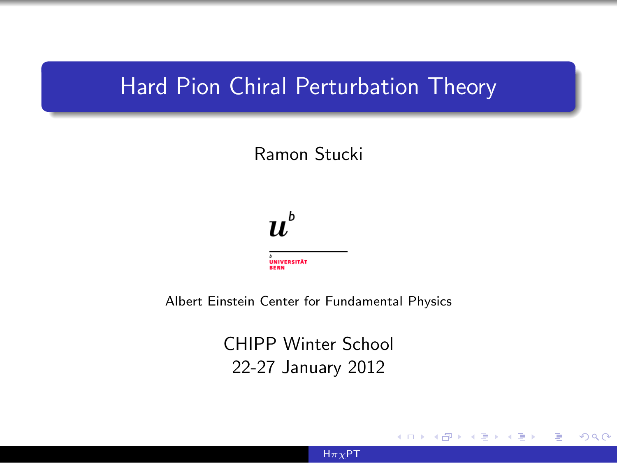## Hard Pion Chiral Perturbation Theory

## Ramon Stucki



Albert Einstein Center for Fundamental Physics

CHIPP Winter School 22-27 January 2012

 $H\pi\chi$ PT

 $\sim$   $\sim$ 

<span id="page-0-0"></span> $\Omega$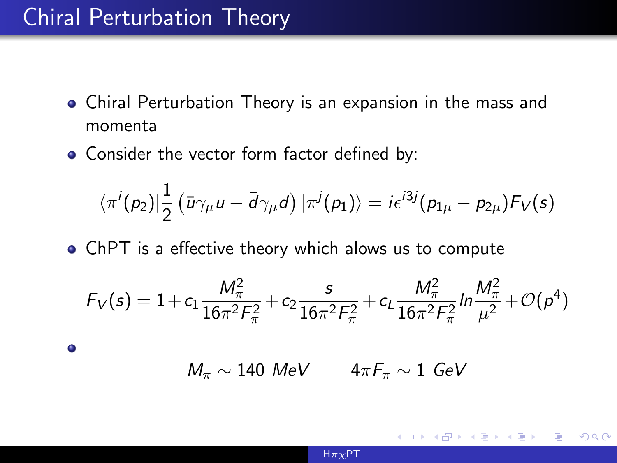## Chiral Perturbation Theory

 $\bullet$ 

- Chiral Perturbation Theory is an expansion in the mass and momenta
- Consider the vector form factor defined by:

$$
\langle \pi^i(p_2) | \frac{1}{2} \left( \bar{u} \gamma_\mu u - \bar{d} \gamma_\mu d \right) | \pi^j(p_1) \rangle = i \epsilon^{i3j} (p_{1\mu} - p_{2\mu}) F_V(s)
$$

ChPT is a effective theory which alows us to compute

$$
F_V(s) = 1 + c_1 \frac{M_{\pi}^2}{16\pi^2 F_{\pi}^2} + c_2 \frac{s}{16\pi^2 F_{\pi}^2} + c_L \frac{M_{\pi}^2}{16\pi^2 F_{\pi}^2} ln \frac{M_{\pi}^2}{\mu^2} + \mathcal{O}(p^4)
$$

$$
M_{\pi} \sim 140 \text{ MeV} \qquad 4\pi F_{\pi} \sim 1 \text{ GeV}
$$

 $299$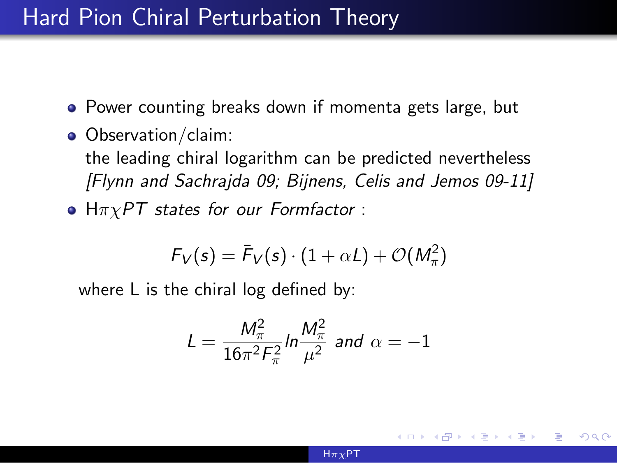## Hard Pion Chiral Perturbation Theory

- Power counting breaks down if momenta gets large, but
- Observation/claim:
	- the leading chiral logarithm can be predicted nevertheless [Flynn and Sachrajda 09; Bijnens, Celis and Jemos 09-11]
- $H\pi\chi PT$  states for our Formfactor :

$$
F_V(s) = \bar{F}_V(s) \cdot (1 + \alpha L) + \mathcal{O}(M_\pi^2)
$$

where L is the chiral log defined by:

$$
L = \frac{M_{\pi}^2}{16\pi^2 F_{\pi}^2} ln \frac{M_{\pi}^2}{\mu^2}
$$
 and  $\alpha = -1$ 

つくい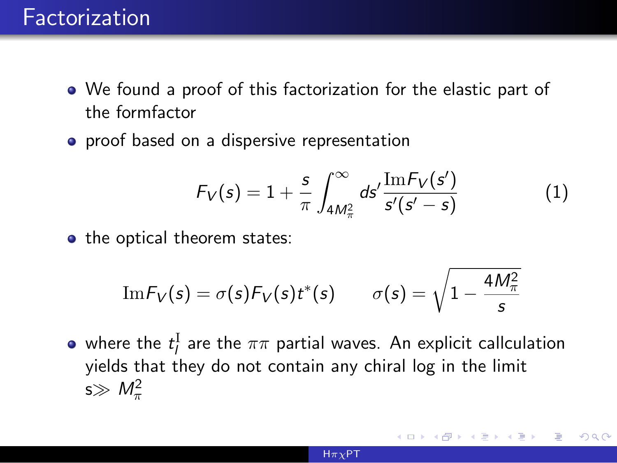- We found a proof of this factorization for the elastic part of the formfactor
- **•** proof based on a dispersive representation

$$
F_V(s) = 1 + \frac{s}{\pi} \int_{4M_{\pi}^2}^{\infty} ds' \frac{\text{Im} F_V(s')}{s'(s'-s)}
$$
(1)

• the optical theorem states:

$$
\text{Im} F_V(s) = \sigma(s) F_V(s) t^*(s) \qquad \sigma(s) = \sqrt{1 - \frac{4 M_\pi^2}{s}}
$$

where the  $t^{\rm I}_l$  are the  $\pi\pi$  partial waves. An explicit callculation yields that they do not contain any chiral log in the limit s $\gg M_\pi^2$ 

つくい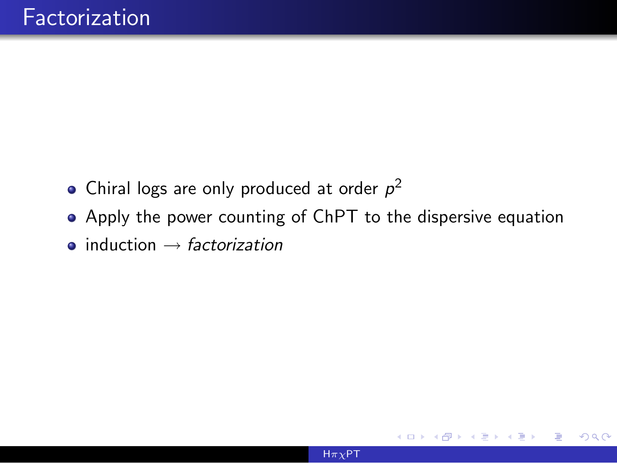- Chiral logs are only produced at order  $p^2$
- Apply the power counting of ChPT to the dispersive equation
- $\bullet$  induction  $\rightarrow$  factorization

 $\Omega$